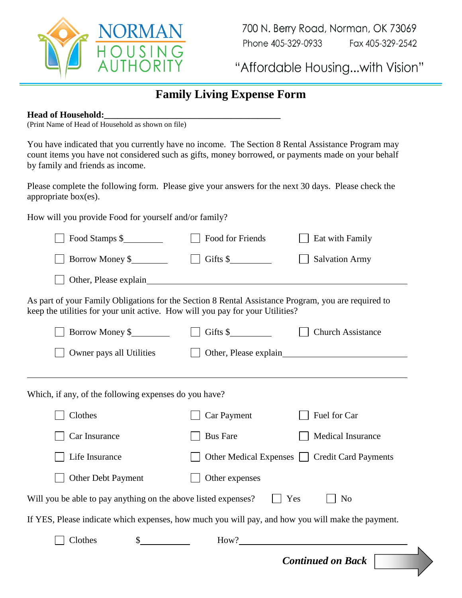

700 N. Berry Road, Norman, OK 73069 Phone 405-329-0933 Fax 405-329-2542

"Affordable Housing...with Vision"

## **Family Living Expense Form**

## **Head of Household:\_\_\_\_\_\_\_\_\_\_\_\_\_\_\_\_\_\_\_\_\_\_\_\_\_\_\_\_\_\_\_\_\_\_\_\_\_\_\_**

(Print Name of Head of Household as shown on file)

You have indicated that you currently have no income. The Section 8 Rental Assistance Program may count items you have not considered such as gifts, money borrowed, or payments made on your behalf by family and friends as income.

Please complete the following form. Please give your answers for the next 30 days. Please check the appropriate box(es).

How will you provide Food for yourself and/or family?

| Food Stamps \$                                                                                                                                                                       | Food for Friends           | Eat with Family                             |  |
|--------------------------------------------------------------------------------------------------------------------------------------------------------------------------------------|----------------------------|---------------------------------------------|--|
| Borrow Money \$                                                                                                                                                                      | Gifts $\frac{\sqrt{2}}{2}$ | <b>Salvation Army</b>                       |  |
|                                                                                                                                                                                      |                            |                                             |  |
| As part of your Family Obligations for the Section 8 Rental Assistance Program, you are required to<br>keep the utilities for your unit active. How will you pay for your Utilities? |                            |                                             |  |
| Borrow Money \$                                                                                                                                                                      | Gifts $\frac{\sqrt{2}}{2}$ | <b>Church Assistance</b>                    |  |
| Owner pays all Utilities                                                                                                                                                             | Other, Please explain      |                                             |  |
|                                                                                                                                                                                      |                            |                                             |  |
| Which, if any, of the following expenses do you have?                                                                                                                                |                            |                                             |  |
| Clothes                                                                                                                                                                              | <b>Car Payment</b>         | Fuel for Car                                |  |
| Car Insurance                                                                                                                                                                        | <b>Bus Fare</b>            | <b>Medical Insurance</b>                    |  |
| Life Insurance                                                                                                                                                                       |                            | Other Medical Expenses Credit Card Payments |  |
| Other Debt Payment                                                                                                                                                                   | Other expenses             |                                             |  |
| Will you be able to pay anything on the above listed expenses?<br>Yes<br>N <sub>0</sub>                                                                                              |                            |                                             |  |
| If YES, Please indicate which expenses, how much you will pay, and how you will make the payment.                                                                                    |                            |                                             |  |
| $\sim$<br>Clothes                                                                                                                                                                    |                            | How?                                        |  |
|                                                                                                                                                                                      |                            | <b>Continued on Back</b>                    |  |